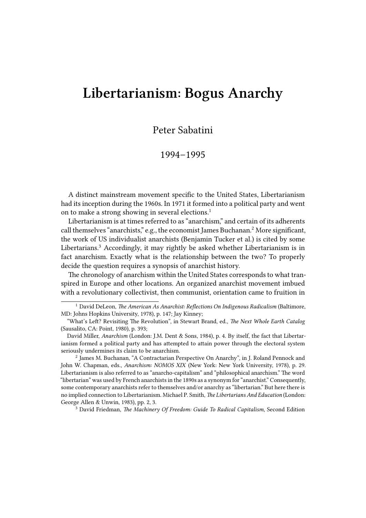## **Libertarianism: Bogus Anarchy**

Peter Sabatini

## 1994–1995

A distinct mainstream movement specific to the United States, Libertarianism had its inception during the 1960s. In 1971 it formed into a political party and went on to make a strong showing in several elections.<sup>1</sup>

Libertarianism is at times referred to as "anarchism," and certain of its adherents call themselves "anarchists," e.g., the economist James Buchanan.<sup>2</sup> More significant, the work of US individualist anarchists (Benjamin Tucker et al.) is cited by some Libertarians.<sup>3</sup> Accordingly, it may rightly be asked whether Libertarianism is in fact anarchism. Exactly what is the relationship between the two? To properly decide the question requires a synopsis of anarchist history.

The chronology of anarchism within the United States corresponds to what transpired in Europe and other locations. An organized anarchist movement imbued with a revolutionary collectivist, then communist, orientation came to fruition in

<sup>2</sup> James M. Buchanan, "A Contractarian Perspective On Anarchy", in J. Roland Pennock and John W. Chapman, eds., *Anarchism: NOMOS XIX* (New York: New York University, 1978), p. 29. Libertarianism is also referred to as "anarcho-capitalism" and "philosophical anarchism." The word "libertarian" was used by French anarchists in the 1890s as a synonym for "anarchist." Consequently, some contemporary anarchists refer to themselves and/or anarchy as "libertarian." But here there is no implied connection to Libertarianism. Michael P. Smith, *The Libertarians And Education* (London: George Allen & Unwin, 1983), pp. 2, 3.

<sup>3</sup> David Friedman, *The Machinery Of Freedom: Guide To Radical Capitalism*, Second Edition

<sup>&</sup>lt;sup>1</sup> David DeLeon, *The American As Anarchist: Reflections On Indigenous Radicalism* (Baltimore, MD: Johns Hopkins University, 1978), p. 147; Jay Kinney;

<sup>&</sup>quot;What's Left? Revisiting The Revolution", in Stewart Brand, ed., *The Next Whole Earth Catalog* (Sausalito, CA: Point, 1980), p. 393;

David Miller, *Anarchism* (London: J.M. Dent & Sons, 1984), p. 4. By itself, the fact that Libertarianism formed a political party and has attempted to attain power through the electoral system seriously undermines its claim to be anarchism.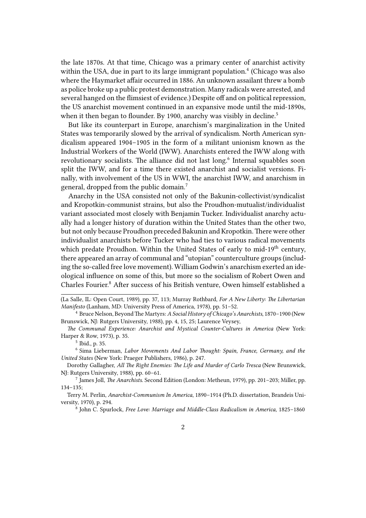the late 1870s. At that time, Chicago was a primary center of anarchist activity within the USA, due in part to its large immigrant population.<sup>4</sup> (Chicago was also where the Haymarket affair occurred in 1886. An unknown assailant threw a bomb as police broke up a public protest demonstration. Many radicals were arrested, and several hanged on the flimsiest of evidence.) Despite off and on political repression, the US anarchist movement continued in an expansive mode until the mid-1890s, when it then began to flounder. By 1900, anarchy was visibly in decline.<sup>5</sup>

But like its counterpart in Europe, anarchism's marginalization in the United States was temporarily slowed by the arrival of syndicalism. North American syndicalism appeared 1904–1905 in the form of a militant unionism known as the Industrial Workers of the World (IWW). Anarchists entered the IWW along with revolutionary socialists. The alliance did not last long.<sup>6</sup> Internal squabbles soon split the IWW, and for a time there existed anarchist and socialist versions. Finally, with involvement of the US in WWI, the anarchist IWW, and anarchism in general, dropped from the public domain.<sup>7</sup>

Anarchy in the USA consisted not only of the Bakunin-collectivist/syndicalist and Kropotkin-communist strains, but also the Proudhon-mutualist/individualist variant associated most closely with Benjamin Tucker. Individualist anarchy actually had a longer history of duration within the United States than the other two, but not only because Proudhon preceded Bakunin and Kropotkin. There were other individualist anarchists before Tucker who had ties to various radical movements which predate Proudhon. Within the United States of early to mid-19<sup>th</sup> century, there appeared an array of communal and "utopian" counterculture groups (including the so-called free love movement). William Godwin's anarchism exerted an ideological influence on some of this, but more so the socialism of Robert Owen and Charles Fourier.<sup>8</sup> After success of his British venture, Owen himself established a

<sup>(</sup>La Salle, IL: Open Court, 1989), pp. 37, 113; Murray Rothbard, *For A New Liberty: The Libertarian Manifesto* (Lanham, MD: University Press of America, 1978), pp. 51–52.

<sup>4</sup> Bruce Nelson, BeyondThe Martyrs: *A Social History of Chicago's Anarchists*, 1870–1900 (New Brunswick, NJ: Rutgers University, 1988), pp. 4, 15, 25; Laurence Veysey,

*The Communal Experience: Anarchist and Mystical Counter-Cultures in America* (New York: Harper & Row, 1973), p. 35.

<sup>5</sup> Ibid., p. 35.

<sup>6</sup> Sima Lieberman, *Labor Movements And Labor Thought: Spain, France, Germany, and the United States* (New York: Praeger Publishers, 1986), p. 247.

Dorothy Gallagher, *All The Right Enemies: The Life and Murder of Carlo Tresca* (New Brunswick, NJ: Rutgers University, 1988), pp. 60–61.

<sup>7</sup> James Joll, *The Anarchists*. Second Edition (London: Metheun, 1979), pp. 201–203; Miller, pp. 134–135;

Terry M. Perlin, *Anarchist-Communism In America*, 1890–1914 (Ph.D. dissertation, Brandeis University, 1970), p. 294.

<sup>8</sup> John C. Spurlock, *Free Love: Marriage and Middle-Class Radicalism in America*, 1825–1860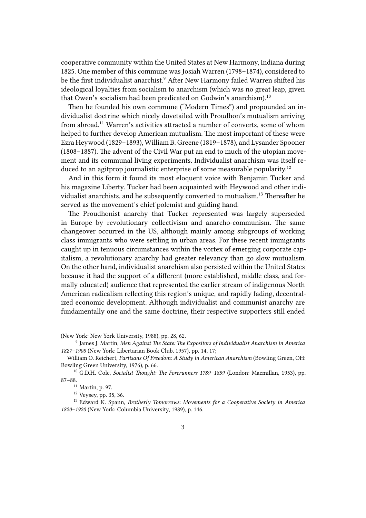cooperative community within the United States at New Harmony, Indiana during 1825. One member of this commune was Josiah Warren (1798–1874), considered to be the first individualist anarchist.<sup>9</sup> After New Harmony failed Warren shifted his ideological loyalties from socialism to anarchism (which was no great leap, given that Owen's socialism had been predicated on Godwin's anarchism).<sup>10</sup>

Then he founded his own commune ("Modern Times") and propounded an individualist doctrine which nicely dovetailed with Proudhon's mutualism arriving from abroad.<sup>11</sup> Warren's activities attracted a number of converts, some of whom helped to further develop American mutualism. The most important of these were Ezra Heywood (1829–1893), William B. Greene (1819–1878), and Lysander Spooner (1808–1887). The advent of the Civil War put an end to much of the utopian movement and its communal living experiments. Individualist anarchism was itself reduced to an agitprop journalistic enterprise of some measurable popularity.<sup>12</sup>

And in this form it found its most eloquent voice with Benjamin Tucker and his magazine Liberty. Tucker had been acquainted with Heywood and other individualist anarchists, and he subsequently converted to mutualism.<sup>13</sup> Thereafter he served as the movement's chief polemist and guiding hand.

The Proudhonist anarchy that Tucker represented was largely superseded in Europe by revolutionary collectivism and anarcho-communism. The same changeover occurred in the US, although mainly among subgroups of working class immigrants who were settling in urban areas. For these recent immigrants caught up in tenuous circumstances within the vortex of emerging corporate capitalism, a revolutionary anarchy had greater relevancy than go slow mutualism. On the other hand, individualist anarchism also persisted within the United States because it had the support of a different (more established, middle class, and formally educated) audience that represented the earlier stream of indigenous North American radicalism reflecting this region's unique, and rapidly fading, decentralized economic development. Although individualist and communist anarchy are fundamentally one and the same doctrine, their respective supporters still ended

<sup>(</sup>New York: New York University, 1988), pp. 28, 62.

<sup>9</sup> James J. Martin, *Men Against The State: The Expositors of Individualist Anarchism in America 1827–1908* (New York: Libertarian Book Club, 1957), pp. 14, 17;

William O. Reichert, *Partisans Of Freedom: A Study in American Anarchism* (Bowling Green, OH: Bowling Green University, 1976), p. 66.

<sup>10</sup> G.D.H. Cole, *Socialist Thought: The Forerunners 1789–1859* (London: Macmillan, 1953), pp. 87–88.

<sup>11</sup> Martin, p. 97.

<sup>12</sup> Veysey, pp. 35, 36.

<sup>13</sup> Edward K. Spann, *Brotherly Tomorrows: Movements for a Cooperative Society in America 1820–1920* (New York: Columbia University, 1989), p. 146.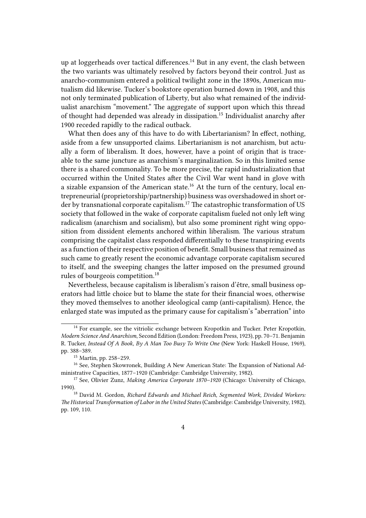up at loggerheads over tactical differences.<sup>14</sup> But in any event, the clash between the two variants was ultimately resolved by factors beyond their control. Just as anarcho-communism entered a political twilight zone in the 1890s, American mutualism did likewise. Tucker's bookstore operation burned down in 1908, and this not only terminated publication of Liberty, but also what remained of the individualist anarchism "movement." The aggregate of support upon which this thread of thought had depended was already in dissipation.<sup>15</sup> Individualist anarchy after 1900 receded rapidly to the radical outback.

What then does any of this have to do with Libertarianism? In effect, nothing, aside from a few unsupported claims. Libertarianism is not anarchism, but actually a form of liberalism. It does, however, have a point of origin that is traceable to the same juncture as anarchism's marginalization. So in this limited sense there is a shared commonality. To be more precise, the rapid industrialization that occurred within the United States after the Civil War went hand in glove with a sizable expansion of the American state.<sup>16</sup> At the turn of the century, local entrepreneurial (proprietorship/partnership) business was overshadowed in short order by transnational corporate capitalism.<sup>17</sup> The catastrophic transformation of US society that followed in the wake of corporate capitalism fueled not only left wing radicalism (anarchism and socialism), but also some prominent right wing opposition from dissident elements anchored within liberalism. The various stratum comprising the capitalist class responded differentially to these transpiring events as a function of their respective position of benefit. Small business that remained as such came to greatly resent the economic advantage corporate capitalism secured to itself, and the sweeping changes the latter imposed on the presumed ground rules of bourgeois competition.<sup>18</sup>

Nevertheless, because capitalism is liberalism's raison d'être, small business operators had little choice but to blame the state for their financial woes, otherwise they moved themselves to another ideological camp (anti-capitalism). Hence, the enlarged state was imputed as the primary cause for capitalism's "aberration" into

<sup>&</sup>lt;sup>14</sup> For example, see the vitriolic exchange between Kropotkin and Tucker. Peter Kropotkin, *Modern Science And Anarchism*, Second Edition (London: Freedom Press, 1923), pp. 70–71. Benjamin R. Tucker, *Instead Of A Book, By A Man Too Busy To Write One* (New York: Haskell House, 1969), pp. 388–389.

<sup>15</sup> Martin, pp. 258–259.

<sup>&</sup>lt;sup>16</sup> See, Stephen Skowronek, Building A New American State: The Expansion of National Administrative Capacities, 1877–1920 (Cambridge: Cambridge University, 1982).

<sup>17</sup> See, Olivier Zunz, *Making America Corporate 1870–1920* (Chicago: University of Chicago, 1990).

<sup>18</sup> David M. Gordon, *Richard Edwards and Michael Reich, Segmented Work, Divided Workers: The Historical Transformation of Labor in the United States* (Cambridge: Cambridge University, 1982), pp. 109, 110.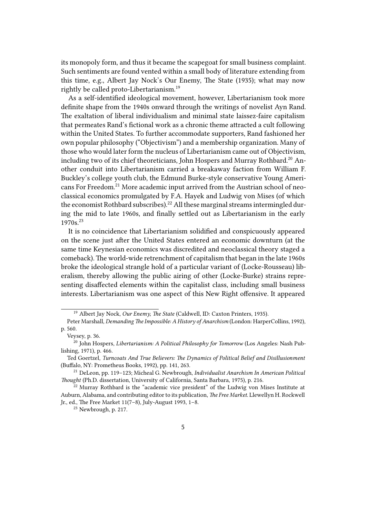its monopoly form, and thus it became the scapegoat for small business complaint. Such sentiments are found vented within a small body of literature extending from this time, e.g., Albert Jay Nock's Our Enemy, The State (1935); what may now rightly be called proto-Libertarianism.<sup>19</sup>

As a self-identified ideological movement, however, Libertarianism took more definite shape from the 1940s onward through the writings of novelist Ayn Rand. The exaltation of liberal individualism and minimal state laissez-faire capitalism that permeates Rand's fictional work as a chronic theme attracted a cult following within the United States. To further accommodate supporters, Rand fashioned her own popular philosophy ("Objectivism") and a membership organization. Many of those who would later form the nucleus of Libertarianism came out of Objectivism, including two of its chief theoreticians, John Hospers and Murray Rothbard.<sup>20</sup> Another conduit into Libertarianism carried a breakaway faction from William F. Buckley's college youth club, the Edmund Burke-style conservative Young Americans For Freedom.<sup>21</sup> More academic input arrived from the Austrian school of neoclassical economics promulgated by F.A. Hayek and Ludwig von Mises (of which the economist Rothbard subscribes).<sup>22</sup> All these marginal streams intermingled during the mid to late 1960s, and finally settled out as Libertarianism in the early 1970s.<sup>23</sup>

It is no coincidence that Libertarianism solidified and conspicuously appeared on the scene just after the United States entered an economic downturn (at the same time Keynesian economics was discredited and neoclassical theory staged a comeback). The world-wide retrenchment of capitalism that began in the late 1960s broke the ideological strangle hold of a particular variant of (Locke-Rousseau) liberalism, thereby allowing the public airing of other (Locke-Burke) strains representing disaffected elements within the capitalist class, including small business interests. Libertarianism was one aspect of this New Right offensive. It appeared

<sup>19</sup> Albert Jay Nock, *Our Enemy, The State* (Caldwell, ID: Caxton Printers, 1935).

Peter Marshall, *Demanding The Impossible: A History of Anarchism* (London: HarperCollins, 1992), p. 560.

Veysey, p. 36.

<sup>20</sup> John Hospers, *Libertarianism: A Political Philosophy for Tomorrow* (Los Angeles: Nash Publishing, 1971), p. 466.

Ted Goertzel, *Turncoats And True Believers: The Dynamics of Political Belief and Disillusionment* (Buffalo, NY: Prometheus Books, 1992), pp. 141, 263.

<sup>21</sup> DeLeon, pp. 119–123; Micheal G. Newbrough, *Individualist Anarchism In American Political Thought* (Ph.D. dissertation, University of California, Santa Barbara, 1975), p. 216.

 $22$  Murray Rothbard is the "academic vice president" of the Ludwig von Mises Institute at Auburn, Alabama, and contributing editor to its publication, *The Free Market*. Llewellyn H. Rockwell Jr., ed., The Free Market 11(7–8), July-August 1993, 1–8.

<sup>23</sup> Newbrough, p. 217.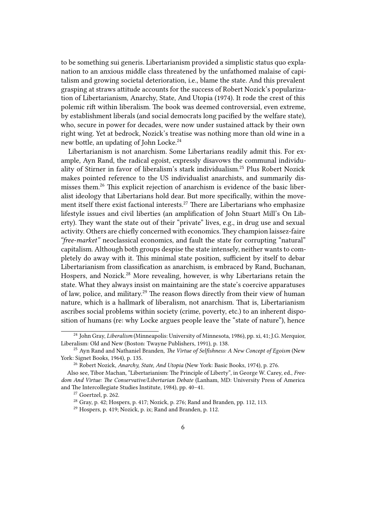to be something sui generis. Libertarianism provided a simplistic status quo explanation to an anxious middle class threatened by the unfathomed malaise of capitalism and growing societal deterioration, i.e., blame the state. And this prevalent grasping at straws attitude accounts for the success of Robert Nozick's popularization of Libertarianism, Anarchy, State, And Utopia (1974). It rode the crest of this polemic rift within liberalism. The book was deemed controversial, even extreme, by establishment liberals (and social democrats long pacified by the welfare state), who, secure in power for decades, were now under sustained attack by their own right wing. Yet at bedrock, Nozick's treatise was nothing more than old wine in a new bottle, an updating of John Locke.<sup>24</sup>

Libertarianism is not anarchism. Some Libertarians readily admit this. For example, Ayn Rand, the radical egoist, expressly disavows the communal individuality of Stirner in favor of liberalism's stark individualism.<sup>25</sup> Plus Robert Nozick makes pointed reference to the US individualist anarchists, and summarily dismisses them.<sup>26</sup> This explicit rejection of anarchism is evidence of the basic liberalist ideology that Libertarians hold dear. But more specifically, within the movement itself there exist factional interests.<sup>27</sup> There are Libertarians who emphasize lifestyle issues and civil liberties (an amplification of John Stuart Mill's On Liberty). They want the state out of their "private" lives, e.g., in drug use and sexual activity. Others are chiefly concerned with economics. They champion laissez-faire *"free-market"* neoclassical economics, and fault the state for corrupting "natural" capitalism. Although both groups despise the state intensely, neither wants to completely do away with it. This minimal state position, sufficient by itself to debar Libertarianism from classification as anarchism, is embraced by Rand, Buchanan, Hospers, and Nozick.<sup>28</sup> More revealing, however, is why Libertarians retain the state. What they always insist on maintaining are the state's coercive apparatuses of law, police, and military.<sup>29</sup> The reason flows directly from their view of human nature, which is a hallmark of liberalism, not anarchism. That is, Libertarianism ascribes social problems within society (crime, poverty, etc.) to an inherent disposition of humans (re: why Locke argues people leave the "state of nature"), hence

<sup>24</sup> John Gray, *Liberalism* (Minneapolis: University of Minnesota, 1986), pp. xi, 41; J.G. Merquior, Liberalism: Old and New (Boston: Twayne Publishers, 1991), p. 138.

<sup>25</sup> Ayn Rand and Nathaniel Branden, *The Virtue of Selfishness: A New Concept of Egoism* (New York: Signet Books, 1964), p. 135.

<sup>26</sup> Robert Nozick, *Anarchy, State, And Utopia* (New York: Basic Books, 1974), p. 276.

Also see, Tibor Machan, "Libertarianism: The Principle of Liberty", in George W. Carey, ed., *Freedom And Virtue: The Conservative/Libertarian Debate* (Lanham, MD: University Press of America and The Intercollegiate Studies Institute, 1984), pp. 40–41.

<sup>27</sup> Goertzel, p. 262.

 $28$  Gray, p. 42; Hospers, p. 417; Nozick, p. 276; Rand and Branden, pp. 112, 113.

<sup>29</sup> Hospers, p. 419; Nozick, p. ix; Rand and Branden, p. 112.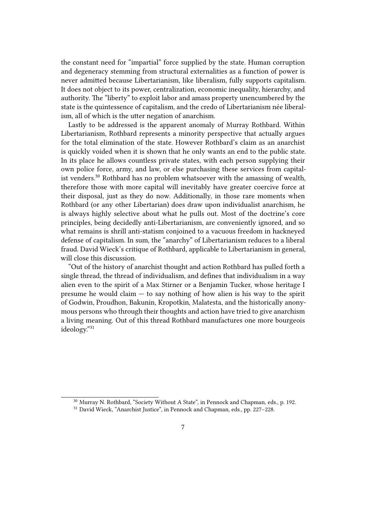the constant need for "impartial" force supplied by the state. Human corruption and degeneracy stemming from structural externalities as a function of power is never admitted because Libertarianism, like liberalism, fully supports capitalism. It does not object to its power, centralization, economic inequality, hierarchy, and authority. The "liberty" to exploit labor and amass property unencumbered by the state is the quintessence of capitalism, and the credo of Libertarianism née liberalism, all of which is the utter negation of anarchism.

Lastly to be addressed is the apparent anomaly of Murray Rothbard. Within Libertarianism, Rothbard represents a minority perspective that actually argues for the total elimination of the state. However Rothbard's claim as an anarchist is quickly voided when it is shown that he only wants an end to the public state. In its place he allows countless private states, with each person supplying their own police force, army, and law, or else purchasing these services from capitalist venders.<sup>30</sup> Rothbard has no problem whatsoever with the amassing of wealth, therefore those with more capital will inevitably have greater coercive force at their disposal, just as they do now. Additionally, in those rare moments when Rothbard (or any other Libertarian) does draw upon individualist anarchism, he is always highly selective about what he pulls out. Most of the doctrine's core principles, being decidedly anti-Libertarianism, are conveniently ignored, and so what remains is shrill anti-statism conjoined to a vacuous freedom in hackneyed defense of capitalism. In sum, the "anarchy" of Libertarianism reduces to a liberal fraud. David Wieck's critique of Rothbard, applicable to Libertarianism in general, will close this discussion.

"Out of the history of anarchist thought and action Rothbard has pulled forth a single thread, the thread of individualism, and defines that individualism in a way alien even to the spirit of a Max Stirner or a Benjamin Tucker, whose heritage I presume he would claim  $-$  to say nothing of how alien is his way to the spirit of Godwin, Proudhon, Bakunin, Kropotkin, Malatesta, and the historically anonymous persons who through their thoughts and action have tried to give anarchism a living meaning. Out of this thread Rothbard manufactures one more bourgeois ideology."<sup>31</sup>

<sup>&</sup>lt;sup>30</sup> Murray N. Rothbard, "Society Without A State", in Pennock and Chapman, eds., p. 192.

<sup>31</sup> David Wieck, "Anarchist Justice", in Pennock and Chapman, eds., pp. 227–228.